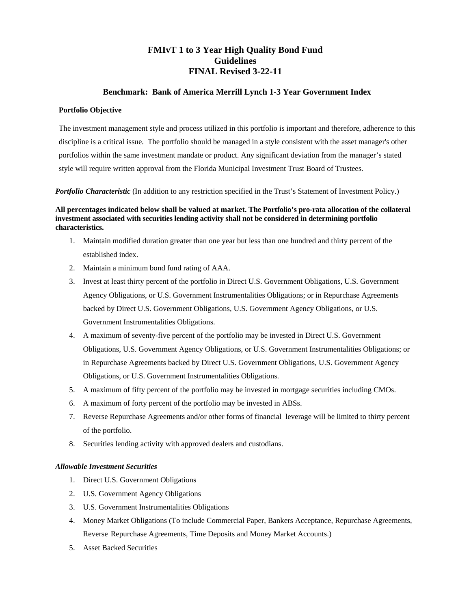# **FMIvT 1 to 3 Year High Quality Bond Fund Guidelines FINAL Revised 3-22-11**

# **Benchmark: Bank of America Merrill Lynch 1-3 Year Government Index**

#### **Portfolio Objective**

The investment management style and process utilized in this portfolio is important and therefore, adherence to this discipline is a critical issue. The portfolio should be managed in a style consistent with the asset manager's other portfolios within the same investment mandate or product. Any significant deviation from the manager's stated style will require written approval from the Florida Municipal Investment Trust Board of Trustees.

*Portfolio Characteristic* (In addition to any restriction specified in the Trust's Statement of Investment Policy.)

#### **All percentages indicated below shall be valued at market. The Portfolio's pro-rata allocation of the collateral investment associated with securities lending activity shall not be considered in determining portfolio characteristics.**

- 1. Maintain modified duration greater than one year but less than one hundred and thirty percent of the established index.
- 2. Maintain a minimum bond fund rating of AAA.
- 3. Invest at least thirty percent of the portfolio in Direct U.S. Government Obligations, U.S. Government Agency Obligations, or U.S. Government Instrumentalities Obligations; or in Repurchase Agreements backed by Direct U.S. Government Obligations, U.S. Government Agency Obligations, or U.S. Government Instrumentalities Obligations.
- 4. A maximum of seventy-five percent of the portfolio may be invested in Direct U.S. Government Obligations, U.S. Government Agency Obligations, or U.S. Government Instrumentalities Obligations; or in Repurchase Agreements backed by Direct U.S. Government Obligations, U.S. Government Agency Obligations, or U.S. Government Instrumentalities Obligations.
- 5. A maximum of fifty percent of the portfolio may be invested in mortgage securities including CMOs.
- 6. A maximum of forty percent of the portfolio may be invested in ABSs.
- 7. Reverse Repurchase Agreements and/or other forms of financial leverage will be limited to thirty percent of the portfolio.
- 8. Securities lending activity with approved dealers and custodians.

## *Allowable Investment Securities*

- 1. Direct U.S. Government Obligations
- 2. U.S. Government Agency Obligations
- 3. U.S. Government Instrumentalities Obligations
- 4. Money Market Obligations (To include Commercial Paper, Bankers Acceptance, Repurchase Agreements, Reverse Repurchase Agreements, Time Deposits and Money Market Accounts.)
- 5. Asset Backed Securities